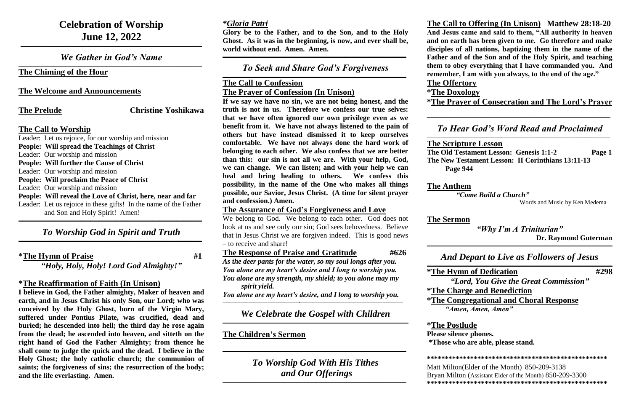# **Celebration of Worship June 12, 2022**

*We Gather in God's Name*  $\mathcal{L}_\mathcal{L} = \mathcal{L}_\mathcal{L} = \mathcal{L}_\mathcal{L} = \mathcal{L}_\mathcal{L} = \mathcal{L}_\mathcal{L} = \mathcal{L}_\mathcal{L} = \mathcal{L}_\mathcal{L} = \mathcal{L}_\mathcal{L} = \mathcal{L}_\mathcal{L} = \mathcal{L}_\mathcal{L} = \mathcal{L}_\mathcal{L} = \mathcal{L}_\mathcal{L} = \mathcal{L}_\mathcal{L} = \mathcal{L}_\mathcal{L} = \mathcal{L}_\mathcal{L} = \mathcal{L}_\mathcal{L} = \mathcal{L}_\mathcal{L}$ 

**\_\_\_\_\_\_\_\_\_\_\_\_\_\_\_\_\_\_\_\_\_\_\_\_\_\_\_\_\_\_\_\_\_\_\_\_\_\_\_\_\_\_\_\_\_\_\_\_\_\_\_\_\_\_\_\_\_\_\_\_\_\_\_\_\_\_\_\_\_\_\_\_\_\_\_\_\_\_\_\_\_\_\_\_\_\_\_\_**

**The Chiming of the Hour**

**The Welcome and Announcements**

**The Prelude Christine Yoshikawa**

## **The Call to Worship**

### *To Worship God in Spirit and Truth*  $\mathcal{L}_\mathcal{L} = \mathcal{L}_\mathcal{L} = \mathcal{L}_\mathcal{L} = \mathcal{L}_\mathcal{L} = \mathcal{L}_\mathcal{L} = \mathcal{L}_\mathcal{L} = \mathcal{L}_\mathcal{L} = \mathcal{L}_\mathcal{L} = \mathcal{L}_\mathcal{L} = \mathcal{L}_\mathcal{L} = \mathcal{L}_\mathcal{L} = \mathcal{L}_\mathcal{L} = \mathcal{L}_\mathcal{L} = \mathcal{L}_\mathcal{L} = \mathcal{L}_\mathcal{L} = \mathcal{L}_\mathcal{L} = \mathcal{L}_\mathcal{L}$

- Leader: Let us rejoice, for our worship and mission **People: Will spread the Teachings of Christ** Leader: Our worship and mission **People: Will further the Cause of Christ** Leader: Our worship and mission **People: Will proclaim the Peace of Christ** Leader: Our worship and mission **People: Will reveal the Love of Christ, here, near and far** Leader: Let us rejoice in these gifts! In the name of the Father
- and Son and Holy Spirit! Amen! **\_\_\_\_\_\_\_\_\_\_\_\_\_\_\_\_\_\_\_\_\_\_\_\_\_\_\_\_\_\_\_\_\_\_\_\_\_\_\_\_\_\_\_\_\_\_\_\_\_\_\_\_\_\_\_\_\_\_\_\_\_\_\_\_\_\_\_\_\_\_\_\_\_\_\_\_\_\_\_\_\_\_\_\_\_\_\_\_\_**

### *To Seek and Share God's Forgiveness*  $\mathcal{L}_\mathcal{L} = \mathcal{L}_\mathcal{L} = \mathcal{L}_\mathcal{L} = \mathcal{L}_\mathcal{L} = \mathcal{L}_\mathcal{L} = \mathcal{L}_\mathcal{L} = \mathcal{L}_\mathcal{L} = \mathcal{L}_\mathcal{L} = \mathcal{L}_\mathcal{L} = \mathcal{L}_\mathcal{L} = \mathcal{L}_\mathcal{L} = \mathcal{L}_\mathcal{L} = \mathcal{L}_\mathcal{L} = \mathcal{L}_\mathcal{L} = \mathcal{L}_\mathcal{L} = \mathcal{L}_\mathcal{L} = \mathcal{L}_\mathcal{L}$

**\*The Hymn of Praise #1**

*"Holy, Holy, Holy! Lord God Almighty!"*

# **\*The Reaffirmation of Faith (In Unison)**

**I believe in God, the Father almighty, Maker of heaven and earth, and in Jesus Christ his only Son, our Lord; who was conceived by the Holy Ghost, born of the Virgin Mary, suffered under Pontius Pilate, was crucified, dead and buried; he descended into hell; the third day he rose again from the dead; he ascended into heaven, and sitteth on the right hand of God the Father Almighty; from thence he shall come to judge the quick and the dead. I believe in the Holy Ghost; the holy catholic church; the communion of saints; the forgiveness of sins; the resurrection of the body; and the life everlasting. Amen.**

# *\*Gloria Patri*

**Glory be to the Father, and to the Son, and to the Holy Ghost. As it was in the beginning, is now, and ever shall be, world without end. Amen. Amen. \_\_\_\_\_\_\_\_\_\_\_\_\_\_\_\_\_\_\_\_\_\_\_\_\_\_\_\_\_\_\_\_\_\_\_\_\_\_\_\_\_\_\_\_\_\_\_\_\_\_\_\_\_\_\_\_\_\_\_\_\_\_\_\_\_\_\_\_\_\_\_\_\_\_\_\_\_\_\_\_\_\_\_\_\_\_\_\_\_**

*To Worship God With His Tithes and Our Offerings*  $\mathcal{L}_\mathcal{L} = \mathcal{L}_\mathcal{L} = \mathcal{L}_\mathcal{L} = \mathcal{L}_\mathcal{L} = \mathcal{L}_\mathcal{L} = \mathcal{L}_\mathcal{L} = \mathcal{L}_\mathcal{L} = \mathcal{L}_\mathcal{L} = \mathcal{L}_\mathcal{L} = \mathcal{L}_\mathcal{L} = \mathcal{L}_\mathcal{L} = \mathcal{L}_\mathcal{L} = \mathcal{L}_\mathcal{L} = \mathcal{L}_\mathcal{L} = \mathcal{L}_\mathcal{L} = \mathcal{L}_\mathcal{L} = \mathcal{L}_\mathcal{L}$ 

## **The Call to Confession The Prayer of Confession (In Unison)**

### *To Hear God's Word Read and Proclaimed*  $\mathcal{L}_\mathcal{L} = \mathcal{L}_\mathcal{L} = \mathcal{L}_\mathcal{L} = \mathcal{L}_\mathcal{L} = \mathcal{L}_\mathcal{L} = \mathcal{L}_\mathcal{L} = \mathcal{L}_\mathcal{L} = \mathcal{L}_\mathcal{L} = \mathcal{L}_\mathcal{L} = \mathcal{L}_\mathcal{L} = \mathcal{L}_\mathcal{L} = \mathcal{L}_\mathcal{L} = \mathcal{L}_\mathcal{L} = \mathcal{L}_\mathcal{L} = \mathcal{L}_\mathcal{L} = \mathcal{L}_\mathcal{L} = \mathcal{L}_\mathcal{L}$

**If we say we have no sin, we are not being honest, and the truth is not in us. Therefore we confess our true selves: that we have often ignored our own privilege even as we benefit from it. We have not always listened to the pain of others but have instead dismissed it to keep ourselves comfortable. We have not always done the hard work of belonging to each other. We also confess that we are better than this: our sin is not all we are. With your help, God, we can change. We can listen; and with your help we can heal and bring healing to others. We confess this possibility, in the name of the One who makes all things possible, our Savior, Jesus Christ. (A time for silent prayer and confession.) Amen.**

# **The Assurance of God's Forgiveness and Love**

We belong to God. We belong to each other. God does not look at us and see only our sin; God sees belovedness. Believe that in Jesus Christ we are forgiven indeed. This is good news – to receive and share!

# **The Response of Praise and Gratitude**  $\frac{4626}{5}$

*As the deer pants for the water, so my soul longs after you. You alone are my heart's desire and I long to worship you. You alone are my strength, my shield; to you alone may my spirit yield.*

*You alone are my heart's desire, and I long to worship you.* **\_\_\_\_\_\_\_\_\_\_\_\_\_\_\_\_\_\_\_\_\_\_\_\_\_\_\_\_\_\_\_\_\_\_\_\_\_,\_\_\_\_\_\_\_\_\_\_\_\_\_\_\_\_\_\_\_\_\_\_\_\_\_\_\_\_\_\_\_\_\_\_\_\_\_\_\_\_\_\_\_\_\_\_\_\_\_\_**

*We Celebrate the Gospel with Children* **\_\_\_\_\_\_\_\_\_\_\_\_\_\_\_\_\_\_\_\_\_\_\_\_\_\_\_\_\_\_\_\_\_\_\_\_\_\_\_\_\_\_\_\_\_\_\_\_\_\_\_\_\_\_\_\_\_\_\_\_\_\_\_\_\_\_\_\_\_\_\_\_\_\_\_\_\_\_\_\_\_\_\_\_\_\_\_\_\_\_**

# **The Children's Sermon**

**\_\_\_\_\_\_\_\_\_\_\_\_\_\_\_\_\_\_\_\_\_\_\_\_\_\_\_\_\_\_\_\_\_\_\_\_\_\_\_\_\_\_\_\_\_\_\_\_\_\_\_\_\_\_\_\_\_\_\_\_\_\_\_\_\_\_\_\_\_\_\_\_\_\_\_\_\_\_\_\_\_\_\_\_\_\_\_\_\_**

**The Call to Offering (In Unison) Matthew 28:18-20 And Jesus came and said to them, "All authority in heaven and on earth has been given to me. Go therefore and make disciples of all nations, baptizing them in the name of the Father and of the Son and of the Holy Spirit, and teaching them to obey everything that I have commanded you. And remember, I am with you always, to the end of the age." The Offertory \*The Doxology**

**\*The Prayer of Consecration and The Lord's Prayer**

**\_\_\_\_\_\_\_\_\_\_\_\_\_\_\_\_\_\_\_\_\_\_\_\_\_\_\_\_\_\_\_\_\_\_\_\_\_\_\_\_\_\_\_\_\_\_\_\_\_\_\_\_\_\_\_\_\_\_\_\_\_\_\_\_\_\_\_\_\_\_\_\_\_\_\_\_\_\_\_\_\_\_\_\_\_\_\_\_\_**

**The Scripture Lesson The Old Testament Lesson: Genesis 1:1-2 Page 1 The New Testament Lesson: II Corinthians 13:11-13 Page 944**

**The Anthem** *"Come Build a Church"*

Words and Music by Ken Medema

# **The Sermon**

*"Why I'm A Trinitarian"*  **Dr. Raymond Guterman**

**\_\_\_\_\_\_\_\_\_\_\_\_\_\_\_\_\_\_\_\_\_\_\_\_\_\_\_\_\_\_\_\_\_\_\_\_\_\_\_\_\_\_\_\_\_\_\_\_\_\_\_\_\_\_\_\_\_\_\_\_\_\_\_\_\_\_\_\_\_\_\_\_\_\_\_\_\_\_\_\_\_\_\_\_\_\_\_\_\_\_**

*And Depart to Live as Followers of Jesus*

**\_\_\_\_\_\_\_\_\_\_\_\_\_\_\_\_\_\_\_\_\_\_\_\_\_\_\_\_\_\_\_\_\_\_\_\_\_\_\_\_\_\_\_\_\_\_\_\_\_\_\_\_\_\_\_\_\_\_\_\_\_\_\_\_\_\_\_\_\_\_\_\_\_\_\_\_\_\_\_\_\_\_\_\_\_\_\_\_\_\_**

**\*The Hymn of Dedication #298** *"Lord, You Give the Great Commission"* **\*The Charge and Benediction \*The Congregational and Choral Response** *"Amen, Amen, Amen"*

**\*The Postlude Please silence phones. \*Those who are able, please stand.**

**\*\*\*\*\*\*\*\*\*\*\*\*\*\*\*\*\*\*\*\*\*\*\*\*\*\*\*\*\*\*\*\*\*\*\*\*\*\*\*\*\*\*\*\*\*\*\*\*\*\*** Matt Milton(Elder of the Month) 850-209-3138 Bryan Milton (Assistant Elder of the Month) 850-209-3300 **\*\*\*\*\*\*\*\*\*\*\*\*\*\*\*\*\*\*\*\*\*\*\*\*\*\*\*\*\*\*\*\*\*\*\*\*\*\*\*\*\*\*\*\*\*\*\*\*\*\***